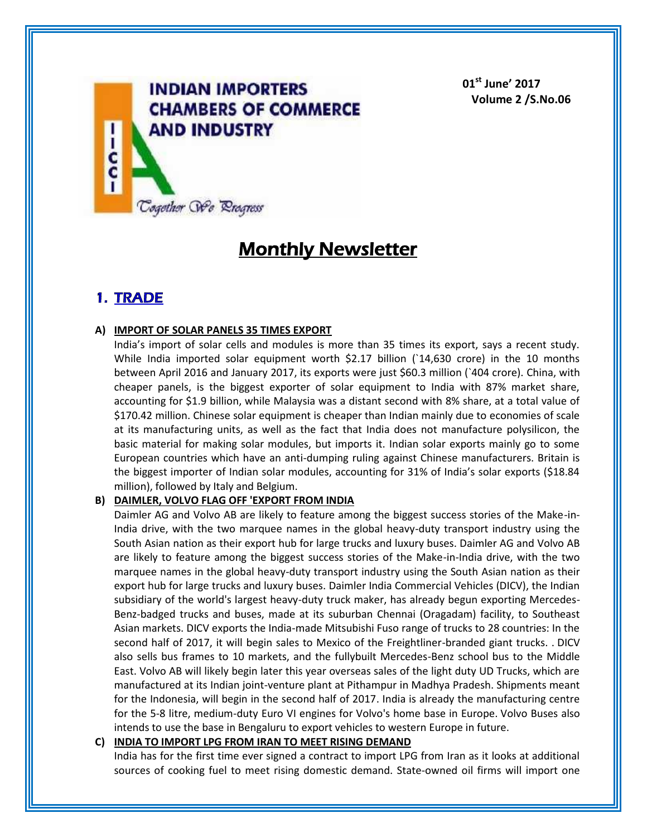

**01st June' 2017 Volume 2 /S.No.06**

# **Monthly Newsletter**

### **1. TRADE**

### **A) IMPORT OF SOLAR PANELS 35 TIMES EXPORT**

India's import of solar cells and modules is more than 35 times its export, says a recent study. While India imported solar equipment worth \$2.17 billion (`14,630 crore) in the 10 months between April 2016 and January 2017, its exports were just \$60.3 million (`404 crore). China, with cheaper panels, is the biggest exporter of solar equipment to India with 87% market share, accounting for \$1.9 billion, while Malaysia was a distant second with 8% share, at a total value of \$170.42 million. Chinese solar equipment is cheaper than Indian mainly due to economies of scale at its manufacturing units, as well as the fact that India does not manufacture polysilicon, the basic material for making solar modules, but imports it. Indian solar exports mainly go to some European countries which have an anti-dumping ruling against Chinese manufacturers. Britain is the biggest importer of Indian solar modules, accounting for 31% of India's solar exports (\$18.84 million), followed by Italy and Belgium.

### **B) DAIMLER, VOLVO FLAG OFF 'EXPORT FROM INDIA**

Daimler AG and Volvo AB are likely to feature among the biggest success stories of the Make-in-India drive, with the two marquee names in the global heavy-duty transport industry using the South Asian nation as their export hub for large trucks and luxury buses. Daimler AG and Volvo AB are likely to feature among the biggest success stories of the Make-in-India drive, with the two marquee names in the global heavy-duty transport industry using the South Asian nation as their export hub for large trucks and luxury buses. Daimler India Commercial Vehicles (DICV), the Indian subsidiary of the world's largest heavy-duty truck maker, has already begun exporting Mercedes-Benz-badged trucks and buses, made at its suburban Chennai (Oragadam) facility, to Southeast Asian markets. DICV exports the India-made Mitsubishi Fuso range of trucks to 28 countries: In the second half of 2017, it will begin sales to Mexico of the Freightliner-branded giant trucks. . DICV also sells bus frames to 10 markets, and the fullybuilt Mercedes-Benz school bus to the Middle East. Volvo AB will likely begin later this year overseas sales of the light duty UD Trucks, which are manufactured at its Indian joint-venture plant at Pithampur in Madhya Pradesh. Shipments meant for the Indonesia, will begin in the second half of 2017. India is already the manufacturing centre for the 5-8 litre, medium-duty Euro VI engines for Volvo's home base in Europe. Volvo Buses also intends to use the base in Bengaluru to export vehicles to western Europe in future.

### **C) INDIA TO IMPORT LPG FROM IRAN TO MEET RISING DEMAND**

India has for the first time ever signed a contract to import LPG from Iran as it looks at additional sources of cooking fuel to meet rising domestic demand. State-owned oil firms will import one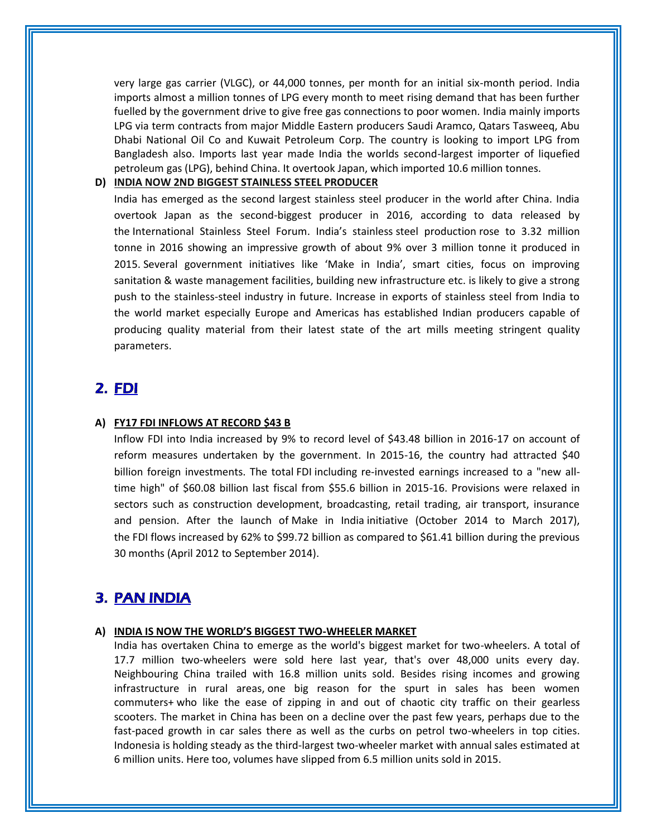very large gas carrier (VLGC), or 44,000 tonnes, per month for an initial six-month period. India imports almost a million tonnes of LPG every month to meet rising demand that has been further fuelled by the government drive to give free gas connections to poor women. India mainly imports LPG via term contracts from major Middle Eastern producers Saudi Aramco, Qatars Tasweeq, Abu Dhabi National Oil Co and Kuwait Petroleum Corp. The country is looking to import LPG from Bangladesh also. Imports last year made India the worlds second-largest importer of liquefied petroleum gas (LPG), behind China. It overtook Japan, which imported 10.6 million tonnes.

### **D) INDIA NOW 2ND BIGGEST STAINLESS STEEL PRODUCER**

India has emerged as the second largest stainless steel producer in the world after China. India overtook Japan as the second-biggest producer in 2016, according to data released by the International Stainless Steel Forum. India's stainless steel production rose to 3.32 million tonne in 2016 showing an impressive growth of about 9% over 3 million tonne it produced in 2015. Several government initiatives like 'Make in India', smart cities, focus on improving sanitation & waste management facilities, building new infrastructure etc. is likely to give a strong push to the stainless-steel industry in future. Increase in exports of stainless steel from India to the world market especially Europe and Americas has established Indian producers capable of producing quality material from their latest state of the art mills meeting stringent quality parameters.

### **2. FDI**

### **A) FY17 FDI INFLOWS AT RECORD \$43 B**

Inflow FDI into India increased by 9% to record level of \$43.48 billion in 2016-17 on account of reform measures undertaken by the government. In 2015-16, the country had attracted \$40 billion foreign investments. The total FDI including re-invested earnings increased to a "new alltime high" of \$60.08 billion last fiscal from \$55.6 billion in 2015-16. Provisions were relaxed in sectors such as construction development, broadcasting, retail trading, air transport, insurance and pension. After the launch of Make in India initiative (October 2014 to March 2017), the FDI flows increased by 62% to \$99.72 billion as compared to \$61.41 billion during the previous 30 months (April 2012 to September 2014).

### **3. PAN INDIA**

### **A) INDIA IS NOW THE WORLD'S BIGGEST TWO-WHEELER MARKET**

India has overtaken China to emerge as the world's biggest market for two-wheelers. A total of 17.7 million two-wheelers were sold here last year, that's over 48,000 units every day. Neighbouring China trailed with 16.8 million units sold. Besides rising incomes and growing infrastructure in rural areas, one big reason for the spurt in sales has been women commuters+ who like the ease of zipping in and out of chaotic city traffic on their gearless scooters. The market in China has been on a decline over the past few years, perhaps due to the fast-paced growth in car sales there as well as the curbs on petrol two-wheelers in top cities. Indonesia is holding steady as the third-largest two-wheeler market with annual sales estimated at 6 million units. Here too, volumes have slipped from 6.5 million units sold in 2015.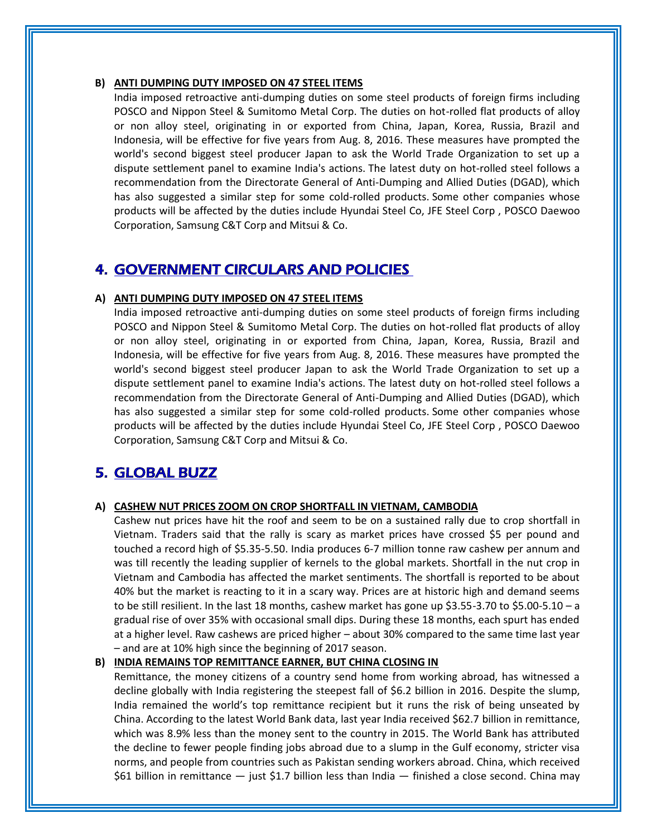### **B) ANTI DUMPING DUTY IMPOSED ON 47 STEEL ITEMS**

India imposed retroactive anti-dumping duties on some steel products of foreign firms including POSCO and Nippon Steel & Sumitomo Metal Corp. The duties on hot-rolled flat products of alloy or non alloy steel, originating in or exported from China, Japan, Korea, Russia, Brazil and Indonesia, will be effective for five years from Aug. 8, 2016. These measures have prompted the world's second biggest steel producer Japan to ask the World Trade Organization to set up a dispute settlement panel to examine India's actions. The latest duty on hot-rolled steel follows a recommendation from the Directorate General of Anti-Dumping and Allied Duties (DGAD), which has also suggested a similar step for some cold-rolled products. Some other companies whose products will be affected by the duties include Hyundai Steel Co, JFE Steel Corp , POSCO Daewoo Corporation, Samsung C&T Corp and Mitsui & Co.

### **4. GOVERNMENT CIRCULARS AND POLICIES**

#### **A) ANTI DUMPING DUTY IMPOSED ON 47 STEEL ITEMS**

India imposed retroactive anti-dumping duties on some steel products of foreign firms including POSCO and Nippon Steel & Sumitomo Metal Corp. The duties on hot-rolled flat products of alloy or non alloy steel, originating in or exported from China, Japan, Korea, Russia, Brazil and Indonesia, will be effective for five years from Aug. 8, 2016. These measures have prompted the world's second biggest steel producer Japan to ask the World Trade Organization to set up a dispute settlement panel to examine India's actions. The latest duty on hot-rolled steel follows a recommendation from the Directorate General of Anti-Dumping and Allied Duties (DGAD), which has also suggested a similar step for some cold-rolled products. Some other companies whose products will be affected by the duties include Hyundai Steel Co, JFE Steel Corp , POSCO Daewoo Corporation, Samsung C&T Corp and Mitsui & Co.

### **5. GLOBAL BUZZ**

#### **A) CASHEW NUT PRICES ZOOM ON CROP SHORTFALL IN VIETNAM, CAMBODIA**

Cashew nut prices have hit the roof and seem to be on a sustained rally due to crop shortfall in Vietnam. Traders said that the rally is scary as market prices have crossed \$5 per pound and touched a record high of \$5.35-5.50. India produces 6-7 million tonne raw cashew per annum and was till recently the leading supplier of kernels to the global markets. Shortfall in the nut crop in Vietnam and Cambodia has affected the market sentiments. The shortfall is reported to be about 40% but the market is reacting to it in a scary way. Prices are at historic high and demand seems to be still resilient. In the last 18 months, cashew market has gone up \$3.55-3.70 to \$5.00-5.10 – a gradual rise of over 35% with occasional small dips. During these 18 months, each spurt has ended at a higher level. Raw cashews are priced higher – about 30% compared to the same time last year – and are at 10% high since the beginning of 2017 season.

#### **B) INDIA REMAINS TOP REMITTANCE EARNER, BUT CHINA CLOSING IN**

Remittance, the money citizens of a country send home from working abroad, has witnessed a decline globally with India registering the steepest fall of \$6.2 billion in 2016. Despite the slump, India remained the world's top remittance recipient but it runs the risk of being unseated by China. According to the latest World Bank data, last year India received \$62.7 billion in remittance, which was 8.9% less than the money sent to the country in 2015. The World Bank has attributed the decline to fewer people finding jobs abroad due to a slump in the Gulf economy, stricter visa norms, and people from countries such as Pakistan sending workers abroad. China, which received \$61 billion in remittance — just \$1.7 billion less than India — finished a close second. China may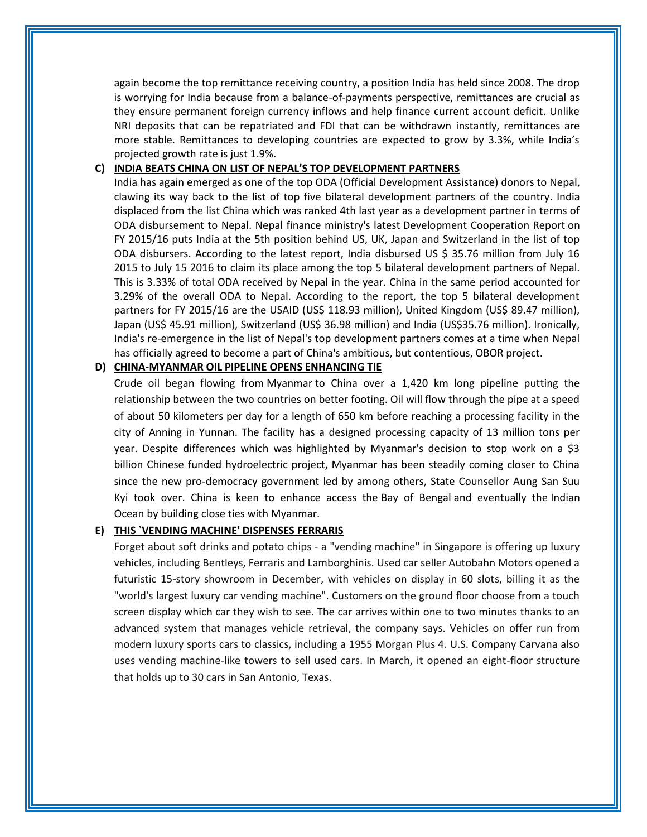again become the top remittance receiving country, a position India has held since 2008. The drop is worrying for India because from a balance-of-payments perspective, remittances are crucial as they ensure permanent foreign currency inflows and help finance current account deficit. Unlike NRI deposits that can be repatriated and FDI that can be withdrawn instantly, remittances are more stable. Remittances to developing countries are expected to grow by 3.3%, while India's projected growth rate is just 1.9%.

### **C) INDIA BEATS CHINA ON LIST OF NEPAL'S TOP DEVELOPMENT PARTNERS**

India has again emerged as one of the top ODA (Official Development Assistance) donors to Nepal, clawing its way back to the list of top five bilateral development partners of the country. India displaced from the list China which was ranked 4th last year as a development partner in terms of ODA disbursement to Nepal. Nepal finance ministry's latest Development Cooperation Report on FY 2015/16 puts India at the 5th position behind US, UK, Japan and Switzerland in the list of top ODA disbursers. According to the latest report, India disbursed US \$ 35.76 million from July 16 2015 to July 15 2016 to claim its place among the top 5 bilateral development partners of Nepal. This is 3.33% of total ODA received by Nepal in the year. China in the same period accounted for 3.29% of the overall ODA to Nepal. According to the report, the top 5 bilateral development partners for FY 2015/16 are the USAID (US\$ 118.93 million), United Kingdom (US\$ 89.47 million), Japan (US\$ 45.91 million), Switzerland (US\$ 36.98 million) and India (US\$35.76 million). Ironically, India's re-emergence in the list of Nepal's top development partners comes at a time when Nepal has officially agreed to become a part of China's ambitious, but contentious, OBOR project.

### **D) CHINA-MYANMAR OIL PIPELINE OPENS ENHANCING TIE**

Crude oil began flowing from Myanmar to China over a 1,420 km long pipeline putting the relationship between the two countries on better footing. Oil will flow through the pipe at a speed of about 50 kilometers per day for a length of 650 km before reaching a processing facility in the city of Anning in Yunnan. The facility has a designed processing capacity of 13 million tons per year. Despite differences which was highlighted by Myanmar's decision to stop work on a \$3 billion Chinese funded hydroelectric project, Myanmar has been steadily coming closer to China since the new pro-democracy government led by among others, State Counsellor Aung San Suu Kyi took over. China is keen to enhance access the Bay of Bengal and eventually the Indian Ocean by building close ties with Myanmar.

#### **E) THIS `VENDING MACHINE' DISPENSES FERRARIS**

Forget about soft drinks and potato chips - a "vending machine" in Singapore is offering up luxury vehicles, including Bentleys, Ferraris and Lamborghinis. Used car seller Autobahn Motors opened a futuristic 15-story showroom in December, with vehicles on display in 60 slots, billing it as the "world's largest luxury car vending machine". Customers on the ground floor choose from a touch screen display which car they wish to see. The car arrives within one to two minutes thanks to an advanced system that manages vehicle retrieval, the company says. Vehicles on offer run from modern luxury sports cars to classics, including a 1955 Morgan Plus 4. U.S. Company Carvana also uses vending machine-like towers to sell used cars. In March, it opened an eight-floor structure that holds up to 30 cars in San Antonio, Texas.